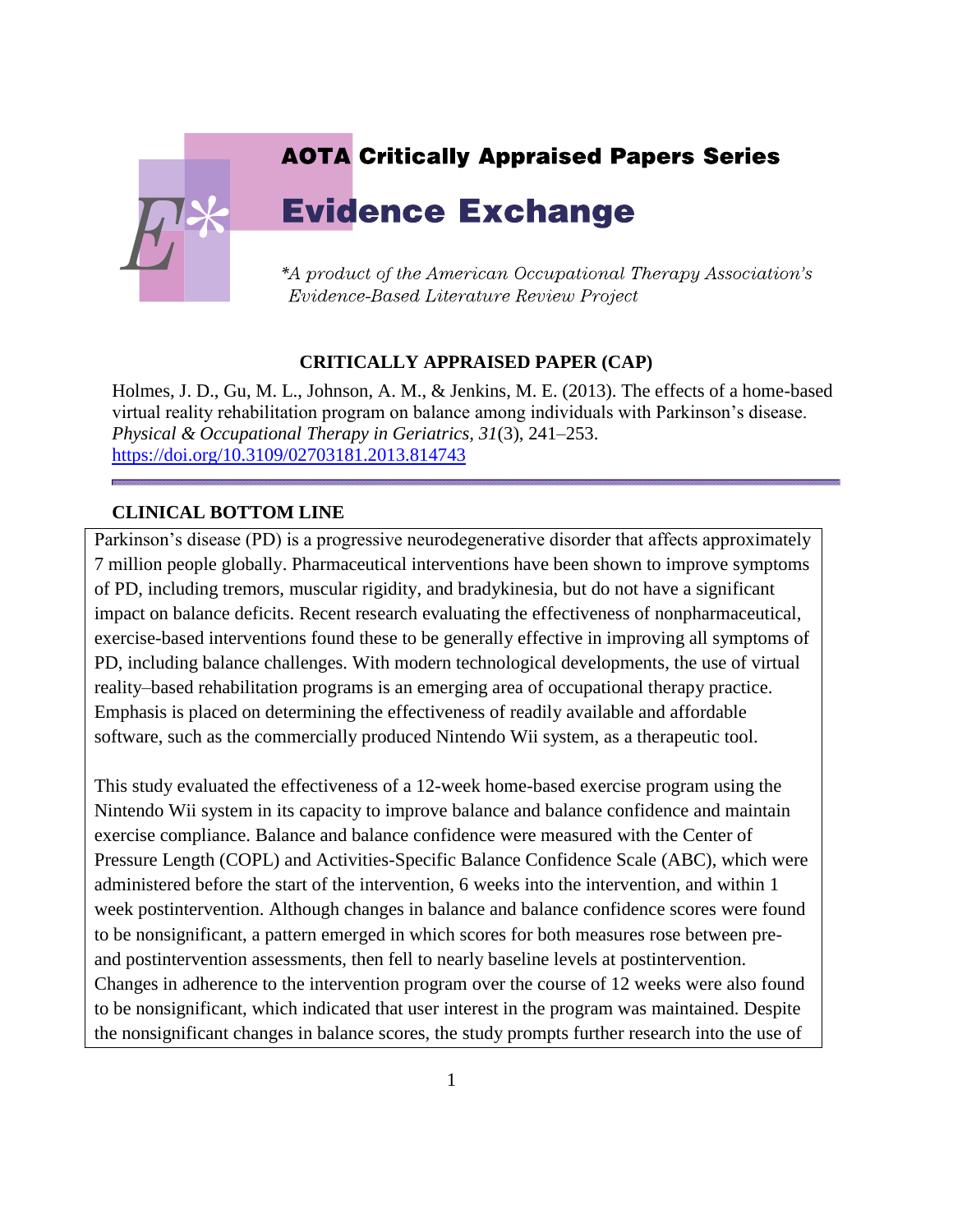## **AOTA Critically Appraised Papers Series**



# **Evidence Exchange**

\*A product of the American Occupational Therapy Association's Evidence-Based Literature Review Project

### **CRITICALLY APPRAISED PAPER (CAP)**

Holmes, J. D., Gu, M. L., Johnson, A. M., & Jenkins, M. E. (2013). The effects of a home-based virtual reality rehabilitation program on balance among individuals with Parkinson's disease. *Physical & Occupational Therapy in Geriatrics, 31*(3), 241–253. <https://doi.org/10.3109/02703181.2013.814743>

### **CLINICAL BOTTOM LINE**

Parkinson's disease (PD) is a progressive neurodegenerative disorder that affects approximately 7 million people globally. Pharmaceutical interventions have been shown to improve symptoms of PD, including tremors, muscular rigidity, and bradykinesia, but do not have a significant impact on balance deficits. Recent research evaluating the effectiveness of nonpharmaceutical, exercise-based interventions found these to be generally effective in improving all symptoms of PD, including balance challenges. With modern technological developments, the use of virtual reality–based rehabilitation programs is an emerging area of occupational therapy practice. Emphasis is placed on determining the effectiveness of readily available and affordable software, such as the commercially produced Nintendo Wii system, as a therapeutic tool.

This study evaluated the effectiveness of a 12-week home-based exercise program using the Nintendo Wii system in its capacity to improve balance and balance confidence and maintain exercise compliance. Balance and balance confidence were measured with the Center of Pressure Length (COPL) and Activities-Specific Balance Confidence Scale (ABC), which were administered before the start of the intervention, 6 weeks into the intervention, and within 1 week postintervention. Although changes in balance and balance confidence scores were found to be nonsignificant, a pattern emerged in which scores for both measures rose between preand postintervention assessments, then fell to nearly baseline levels at postintervention. Changes in adherence to the intervention program over the course of 12 weeks were also found to be nonsignificant, which indicated that user interest in the program was maintained. Despite the nonsignificant changes in balance scores, the study prompts further research into the use of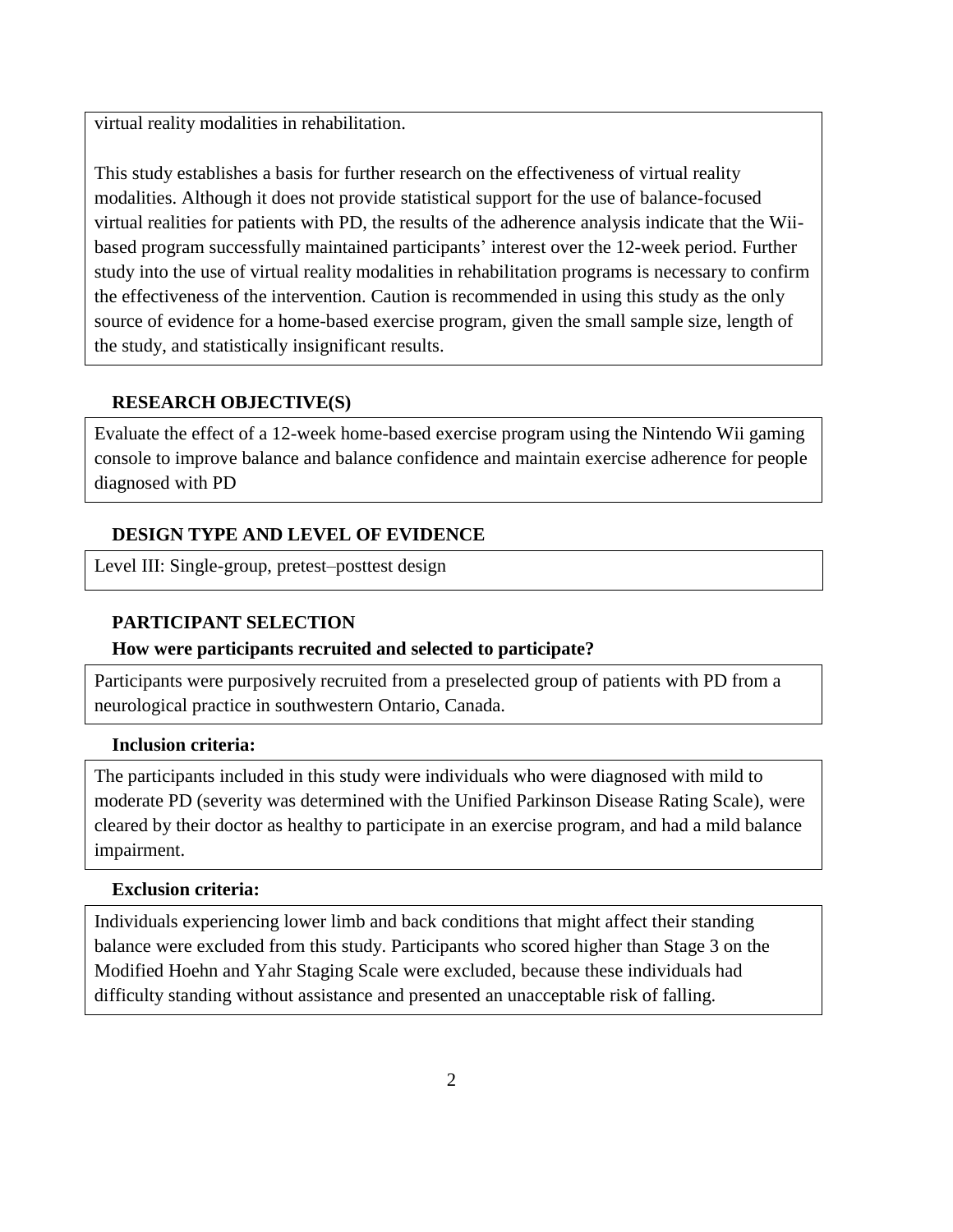virtual reality modalities in rehabilitation.

This study establishes a basis for further research on the effectiveness of virtual reality modalities. Although it does not provide statistical support for the use of balance-focused virtual realities for patients with PD, the results of the adherence analysis indicate that the Wiibased program successfully maintained participants' interest over the 12-week period. Further study into the use of virtual reality modalities in rehabilitation programs is necessary to confirm the effectiveness of the intervention. Caution is recommended in using this study as the only source of evidence for a home-based exercise program, given the small sample size, length of the study, and statistically insignificant results.

### **RESEARCH OBJECTIVE(S)**

Evaluate the effect of a 12-week home-based exercise program using the Nintendo Wii gaming console to improve balance and balance confidence and maintain exercise adherence for people diagnosed with PD

### **DESIGN TYPE AND LEVEL OF EVIDENCE**

Level III: Single-group, pretest–posttest design

### **PARTICIPANT SELECTION**

### **How were participants recruited and selected to participate?**

Participants were purposively recruited from a preselected group of patients with PD from a neurological practice in southwestern Ontario, Canada.

### **Inclusion criteria:**

The participants included in this study were individuals who were diagnosed with mild to moderate PD (severity was determined with the Unified Parkinson Disease Rating Scale), were cleared by their doctor as healthy to participate in an exercise program, and had a mild balance impairment.

### **Exclusion criteria:**

Individuals experiencing lower limb and back conditions that might affect their standing balance were excluded from this study. Participants who scored higher than Stage 3 on the Modified Hoehn and Yahr Staging Scale were excluded, because these individuals had difficulty standing without assistance and presented an unacceptable risk of falling.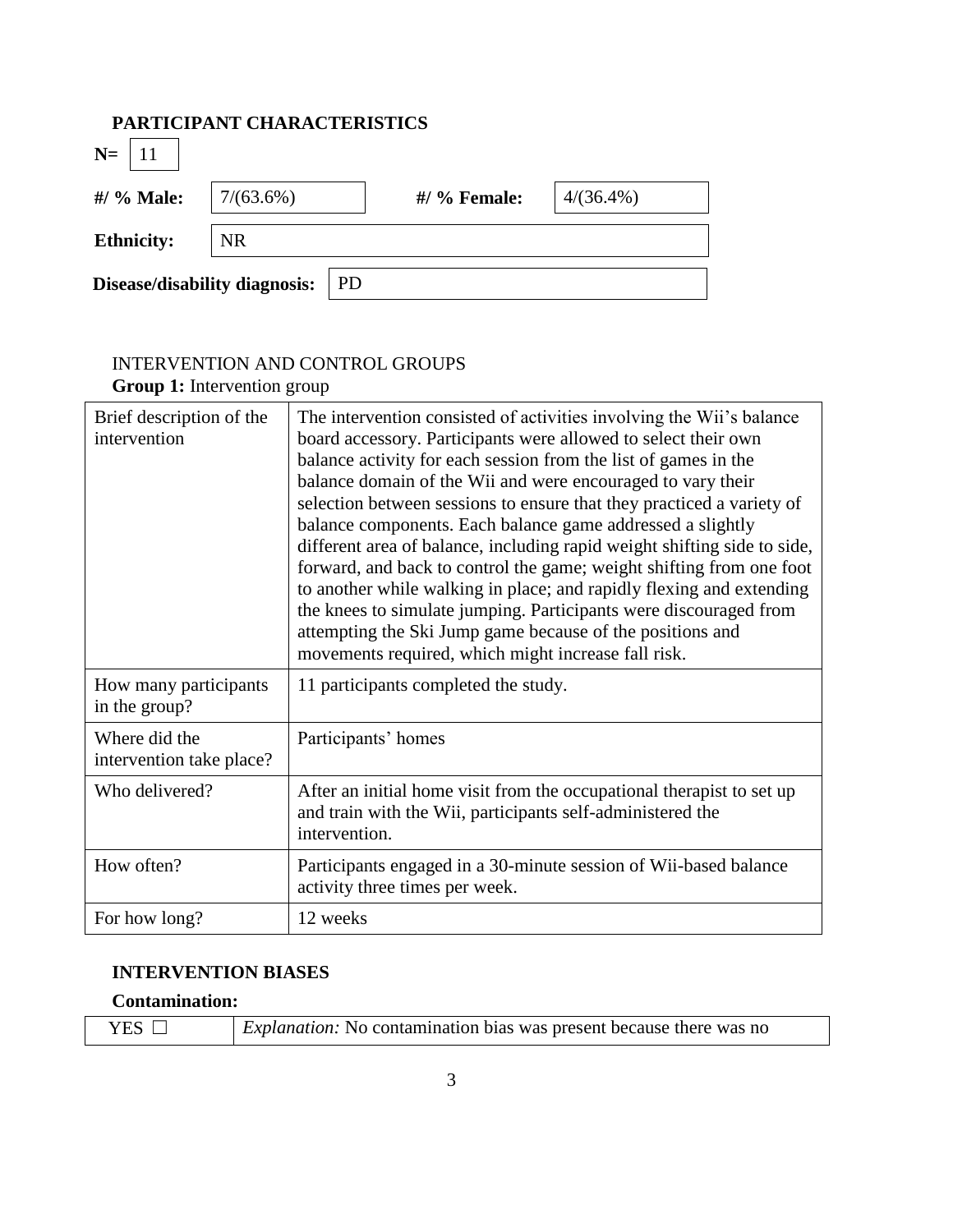## **PARTICIPANT CHARACTERISTICS**

| $N =$   11                    |           |              |              |
|-------------------------------|-----------|--------------|--------------|
| #/ % Male:                    | 7/(63.6%) | #/ % Female: | $4/(36.4\%)$ |
| <b>Ethnicity:</b>             | <b>NR</b> |              |              |
| Disease/disability diagnosis: | PD        |              |              |

## INTERVENTION AND CONTROL GROUPS

| Group 1: Intervention group               |                                                                                                                                                                                                                                                                                                                                                                                                                                                                                                                                                                                                                                                                                                                                                                                                                                      |  |  |
|-------------------------------------------|--------------------------------------------------------------------------------------------------------------------------------------------------------------------------------------------------------------------------------------------------------------------------------------------------------------------------------------------------------------------------------------------------------------------------------------------------------------------------------------------------------------------------------------------------------------------------------------------------------------------------------------------------------------------------------------------------------------------------------------------------------------------------------------------------------------------------------------|--|--|
| Brief description of the<br>intervention  | The intervention consisted of activities involving the Wii's balance<br>board accessory. Participants were allowed to select their own<br>balance activity for each session from the list of games in the<br>balance domain of the Wii and were encouraged to vary their<br>selection between sessions to ensure that they practiced a variety of<br>balance components. Each balance game addressed a slightly<br>different area of balance, including rapid weight shifting side to side,<br>forward, and back to control the game; weight shifting from one foot<br>to another while walking in place; and rapidly flexing and extending<br>the knees to simulate jumping. Participants were discouraged from<br>attempting the Ski Jump game because of the positions and<br>movements required, which might increase fall risk. |  |  |
| How many participants<br>in the group?    | 11 participants completed the study.                                                                                                                                                                                                                                                                                                                                                                                                                                                                                                                                                                                                                                                                                                                                                                                                 |  |  |
| Where did the<br>intervention take place? | Participants' homes                                                                                                                                                                                                                                                                                                                                                                                                                                                                                                                                                                                                                                                                                                                                                                                                                  |  |  |
| Who delivered?                            | After an initial home visit from the occupational therapist to set up<br>and train with the Wii, participants self-administered the<br>intervention.                                                                                                                                                                                                                                                                                                                                                                                                                                                                                                                                                                                                                                                                                 |  |  |
| How often?                                | Participants engaged in a 30-minute session of Wii-based balance<br>activity three times per week.                                                                                                                                                                                                                                                                                                                                                                                                                                                                                                                                                                                                                                                                                                                                   |  |  |
| For how long?                             | 12 weeks                                                                                                                                                                                                                                                                                                                                                                                                                                                                                                                                                                                                                                                                                                                                                                                                                             |  |  |

## **INTERVENTION BIASES**

## **Contamination:**

| YES $\Box$ | <i>Explanation:</i> No contamination bias was present because there was no |
|------------|----------------------------------------------------------------------------|
|------------|----------------------------------------------------------------------------|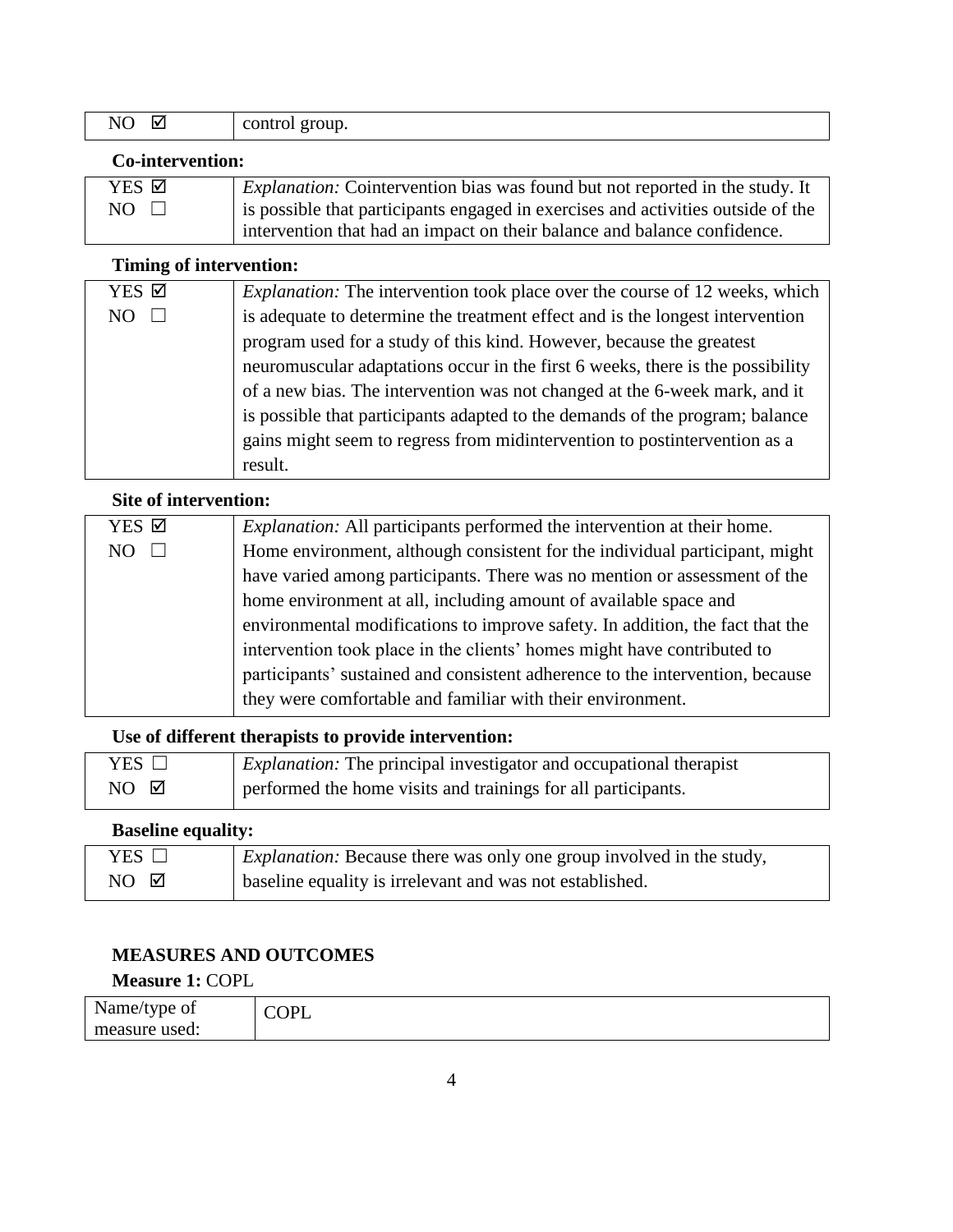| - -<br>⊻<br>N.<br>. .<br>$-$ | group.<br>control<br>. |
|------------------------------|------------------------|
|------------------------------|------------------------|

### **Co-intervention:**

| YES ☑           | <i>Explanation:</i> Cointervention bias was found but not reported in the study. It |
|-----------------|-------------------------------------------------------------------------------------|
| $NO \quad \Box$ | is possible that participants engaged in exercises and activities outside of the    |
|                 | intervention that had an impact on their balance and balance confidence.            |

## **Timing of intervention:**

| YES Ø | <i>Explanation:</i> The intervention took place over the course of 12 weeks, which |
|-------|------------------------------------------------------------------------------------|
| NO    | is adequate to determine the treatment effect and is the longest intervention      |
|       | program used for a study of this kind. However, because the greatest               |
|       | neuromuscular adaptations occur in the first 6 weeks, there is the possibility     |
|       | of a new bias. The intervention was not changed at the 6-week mark, and it         |
|       | is possible that participants adapted to the demands of the program; balance       |
|       | gains might seem to regress from midintervention to postine revention as a         |
|       | result.                                                                            |

## **Site of intervention:**

| YES Ø | <i>Explanation:</i> All participants performed the intervention at their home. |  |  |  |  |  |
|-------|--------------------------------------------------------------------------------|--|--|--|--|--|
| NO.   | Home environment, although consistent for the individual participant, might    |  |  |  |  |  |
|       | have varied among participants. There was no mention or assessment of the      |  |  |  |  |  |
|       | home environment at all, including amount of available space and               |  |  |  |  |  |
|       | environmental modifications to improve safety. In addition, the fact that the  |  |  |  |  |  |
|       | intervention took place in the clients' homes might have contributed to        |  |  |  |  |  |
|       | participants' sustained and consistent adherence to the intervention, because  |  |  |  |  |  |
|       | they were comfortable and familiar with their environment.                     |  |  |  |  |  |

## **Use of different therapists to provide intervention:**

| YES $\Box$       | <i>Explanation:</i> The principal investigator and occupational therapist |
|------------------|---------------------------------------------------------------------------|
| $NO$ $\boxtimes$ | performed the home visits and trainings for all participants.             |

## **Baseline equality:**

| YES $\Box$       | <i>Explanation:</i> Because there was only one group involved in the study, |
|------------------|-----------------------------------------------------------------------------|
| $NO$ $\boxtimes$ | baseline equality is irrelevant and was not established.                    |

# **MEASURES AND OUTCOMES**

## **Measure 1:** COPL

| Name/type of  | $\sim$ $\mathbf{r}$<br>՝<br><b>.</b> |
|---------------|--------------------------------------|
| measure used: |                                      |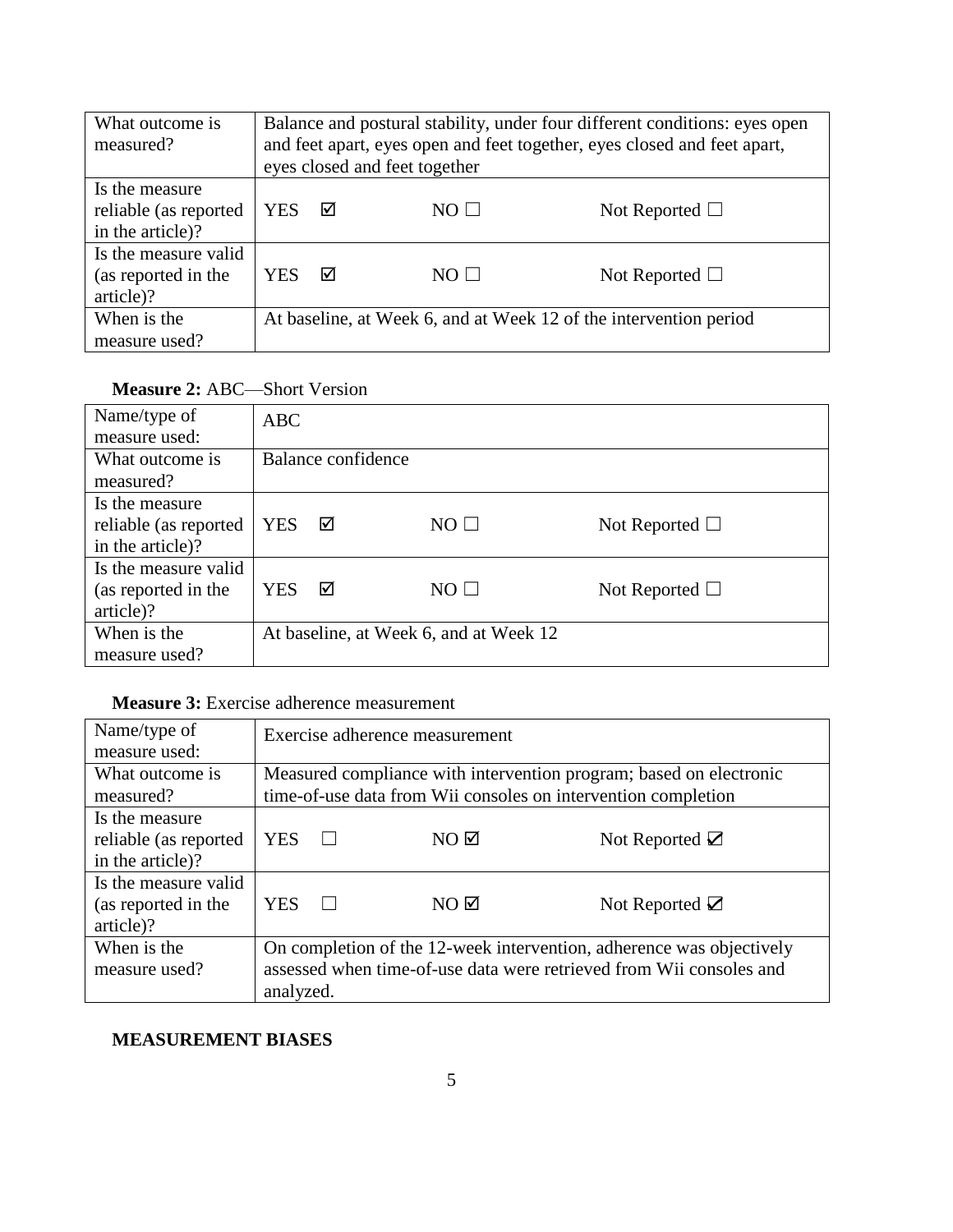| What outcome is<br>measured?                                | Balance and postural stability, under four different conditions: eyes open<br>and feet apart, eyes open and feet together, eyes closed and feet apart,<br>eyes closed and feet together |   |                |                                                                   |  |
|-------------------------------------------------------------|-----------------------------------------------------------------------------------------------------------------------------------------------------------------------------------------|---|----------------|-------------------------------------------------------------------|--|
| Is the measure<br>reliable (as reported<br>in the article)? | YES                                                                                                                                                                                     | ☑ | $NO \Box$      | Not Reported $\Box$                                               |  |
| Is the measure valid<br>(as reported in the<br>article)?    | YES                                                                                                                                                                                     | ☑ | $NO$ $\square$ | Not Reported $\Box$                                               |  |
| When is the<br>measure used?                                |                                                                                                                                                                                         |   |                | At baseline, at Week 6, and at Week 12 of the intervention period |  |

## **Measure 2:** ABC—Short Version

| Name/type of<br>measure used:                               | <b>ABC</b> |                    |                                        |                     |
|-------------------------------------------------------------|------------|--------------------|----------------------------------------|---------------------|
| What outcome is<br>measured?                                |            | Balance confidence |                                        |                     |
| Is the measure<br>reliable (as reported<br>in the article)? | <b>YES</b> | ☑                  | $NO$ $\square$                         | Not Reported $\Box$ |
| Is the measure valid<br>(as reported in the<br>article)?    | <b>YES</b> | ☑                  | $NO$ $\Box$                            | Not Reported $\Box$ |
| When is the<br>measure used?                                |            |                    | At baseline, at Week 6, and at Week 12 |                     |

## **Measure 3:** Exercise adherence measurement

| Name/type of<br>measure used: |            | Exercise adherence measurement |                                                                      |
|-------------------------------|------------|--------------------------------|----------------------------------------------------------------------|
| What outcome is               |            |                                | Measured compliance with intervention program; based on electronic   |
| measured?                     |            |                                | time-of-use data from Wii consoles on intervention completion        |
| Is the measure                |            |                                |                                                                      |
| reliable (as reported         | <b>YES</b> | $NO$ $\boxtimes$               | Not Reported $\boxtimes$                                             |
| in the article)?              |            |                                |                                                                      |
| Is the measure valid          |            |                                |                                                                      |
| (as reported in the           | <b>YES</b> | $NO$ $\boxtimes$               | Not Reported $\boxtimes$                                             |
| article)?                     |            |                                |                                                                      |
| When is the                   |            |                                | On completion of the 12-week intervention, adherence was objectively |
| measure used?                 |            |                                | assessed when time-of-use data were retrieved from Wii consoles and  |
|                               | analyzed.  |                                |                                                                      |

## **MEASUREMENT BIASES**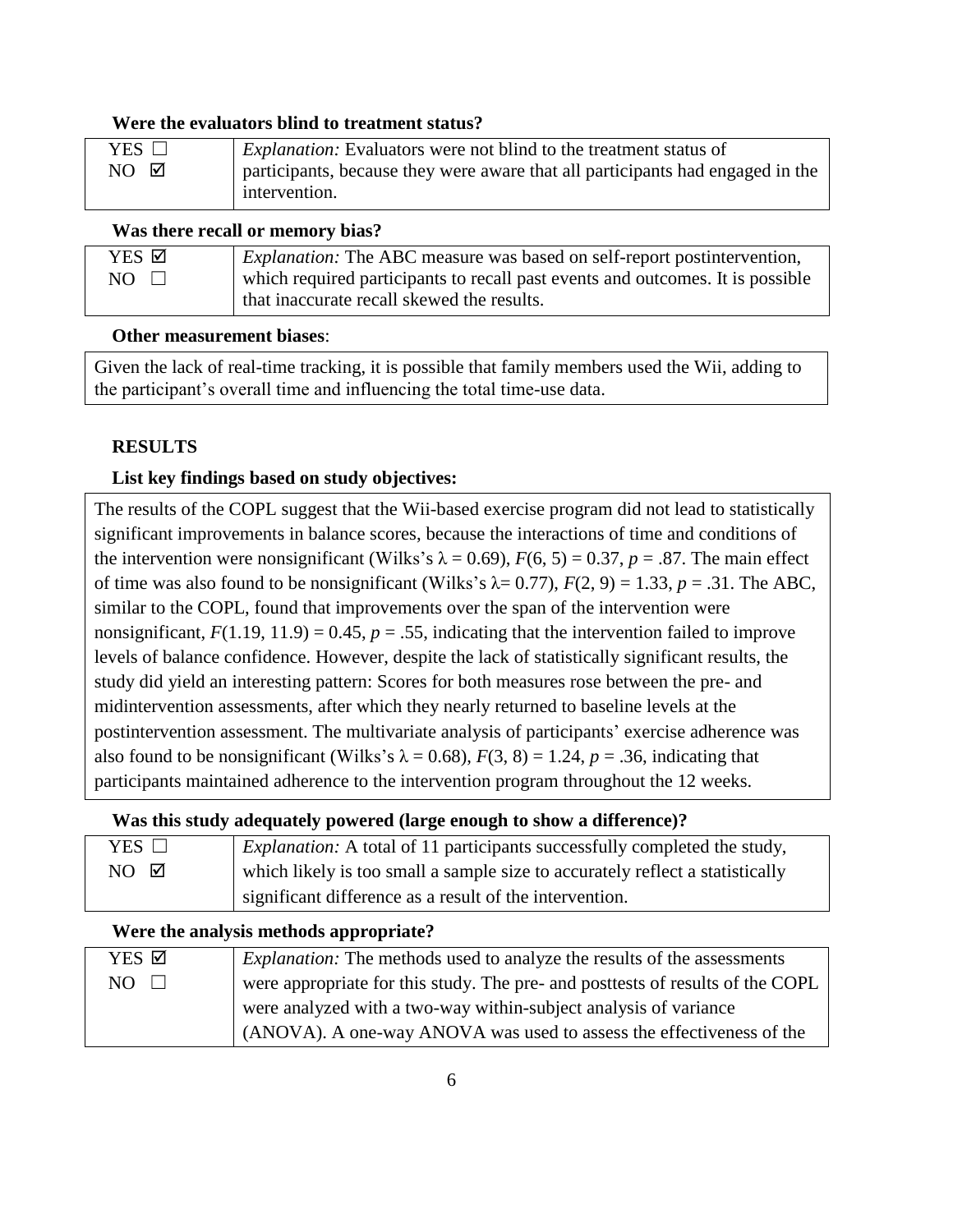#### **Were the evaluators blind to treatment status?**

| YES $\Box$       | <i>Explanation:</i> Evaluators were not blind to the treatment status of       |
|------------------|--------------------------------------------------------------------------------|
| $NO$ $\boxtimes$ | participants, because they were aware that all participants had engaged in the |
|                  | intervention.                                                                  |

### **Was there recall or memory bias?**

| YES Ø | <i>Explanation:</i> The ABC measure was based on self-report postintervention, |
|-------|--------------------------------------------------------------------------------|
| NO    | which required participants to recall past events and outcomes. It is possible |
|       | that inaccurate recall skewed the results.                                     |

#### **Other measurement biases**:

Given the lack of real-time tracking, it is possible that family members used the Wii, adding to the participant's overall time and influencing the total time-use data.

### **RESULTS**

### **List key findings based on study objectives:**

The results of the COPL suggest that the Wii-based exercise program did not lead to statistically significant improvements in balance scores, because the interactions of time and conditions of the intervention were nonsignificant (Wilks's  $\lambda = 0.69$ ),  $F(6, 5) = 0.37$ ,  $p = .87$ . The main effect of time was also found to be nonsignificant (Wilks's  $\lambda$  = 0.77),  $F(2, 9)$  = 1.33,  $p = .31$ . The ABC, similar to the COPL, found that improvements over the span of the intervention were nonsignificant,  $F(1.19, 11.9) = 0.45$ ,  $p = .55$ , indicating that the intervention failed to improve levels of balance confidence. However, despite the lack of statistically significant results, the study did yield an interesting pattern: Scores for both measures rose between the pre- and midintervention assessments, after which they nearly returned to baseline levels at the postintervention assessment. The multivariate analysis of participants' exercise adherence was also found to be nonsignificant (Wilks's  $\lambda = 0.68$ ),  $F(3, 8) = 1.24$ ,  $p = .36$ , indicating that participants maintained adherence to the intervention program throughout the 12 weeks.

### **Was this study adequately powered (large enough to show a difference)?**

| YES $\Box$       | <i>Explanation:</i> A total of 11 participants successfully completed the study, |
|------------------|----------------------------------------------------------------------------------|
| $NO$ $\boxtimes$ | which likely is too small a sample size to accurately reflect a statistically    |
|                  | significant difference as a result of the intervention.                          |

### **Were the analysis methods appropriate?**

| YES ⊠ | <i>Explanation:</i> The methods used to analyze the results of the assessments |
|-------|--------------------------------------------------------------------------------|
| NO.   | were appropriate for this study. The pre- and posttests of results of the COPL |
|       | were analyzed with a two-way within-subject analysis of variance               |
|       | (ANOVA). A one-way ANOVA was used to assess the effectiveness of the           |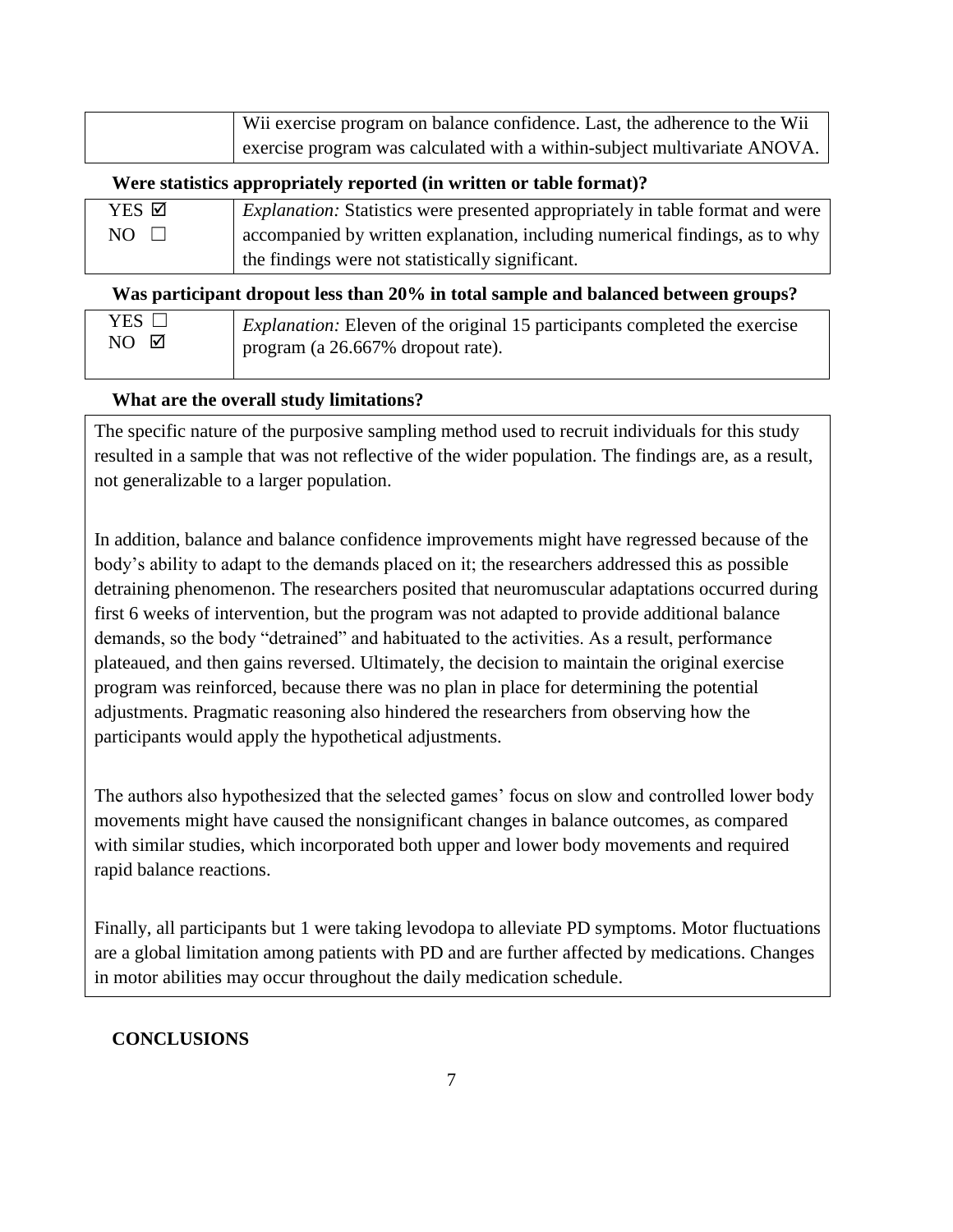| Wii exercise program on balance confidence. Last, the adherence to the Wii |
|----------------------------------------------------------------------------|
| exercise program was calculated with a within-subject multivariate ANOVA.  |

### **Were statistics appropriately reported (in written or table format)?**

| YES Ø           | <i>Explanation:</i> Statistics were presented appropriately in table format and were |
|-----------------|--------------------------------------------------------------------------------------|
| $NO \quad \Box$ | accompanied by written explanation, including numerical findings, as to why          |
|                 | the findings were not statistically significant.                                     |

### **Was participant dropout less than 20% in total sample and balanced between groups?**

| YES $\Box$       | <i>Explanation:</i> Eleven of the original 15 participants completed the exercise |
|------------------|-----------------------------------------------------------------------------------|
| $NO$ $\boxtimes$ | program (a 26.667% dropout rate).                                                 |
|                  |                                                                                   |

### **What are the overall study limitations?**

The specific nature of the purposive sampling method used to recruit individuals for this study resulted in a sample that was not reflective of the wider population. The findings are, as a result, not generalizable to a larger population.

In addition, balance and balance confidence improvements might have regressed because of the body's ability to adapt to the demands placed on it; the researchers addressed this as possible detraining phenomenon. The researchers posited that neuromuscular adaptations occurred during first 6 weeks of intervention, but the program was not adapted to provide additional balance demands, so the body "detrained" and habituated to the activities. As a result, performance plateaued, and then gains reversed. Ultimately, the decision to maintain the original exercise program was reinforced, because there was no plan in place for determining the potential adjustments. Pragmatic reasoning also hindered the researchers from observing how the participants would apply the hypothetical adjustments.

The authors also hypothesized that the selected games' focus on slow and controlled lower body movements might have caused the nonsignificant changes in balance outcomes, as compared with similar studies, which incorporated both upper and lower body movements and required rapid balance reactions.

Finally, all participants but 1 were taking levodopa to alleviate PD symptoms. Motor fluctuations are a global limitation among patients with PD and are further affected by medications. Changes in motor abilities may occur throughout the daily medication schedule.

### **CONCLUSIONS**